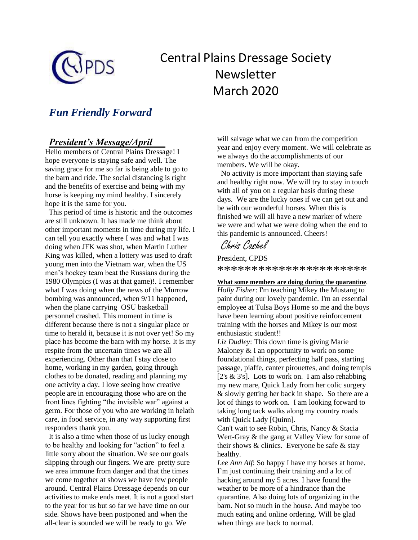

# Central Plains Dressage Society Newsletter March 2020

# *Fun Friendly Forward*

### *President's Message/April*

Hello members of Central Plains Dressage! I hope everyone is staying safe and well. The saving grace for me so far is being able to go to the barn and ride. The social distancing is right and the benefits of exercise and being with my horse is keeping my mind healthy. I sincerely hope it is the same for you.

 This period of time is historic and the outcomes are still unknown. It has made me think about other important moments in time during my life. I can tell you exactly where I was and what I was doing when JFK was shot, when Martin Luther King was killed, when a lottery was used to draft young men into the Vietnam war, when the US men's hockey team beat the Russians during the 1980 Olympics (I was at that game)!. I remember what I was doing when the news of the Murrow bombing was announced, when 9/11 happened, when the plane carrying OSU basketball personnel crashed. This moment in time is different because there is not a singular place or time to herald it, because it is not over yet! So my place has become the barn with my horse. It is my respite from the uncertain times we are all experiencing. Other than that I stay close to home, working in my garden, going through clothes to be donated, reading and planning my one activity a day. I love seeing how creative people are in encouraging those who are on the front lines fighting "the invisible war" against a germ. For those of you who are working in helath care, in food service, in any way supporting first responders thank you.

 It is also a time when those of us lucky enough to be healthy and looking for "action" to feel a little sorry about the situation. We see our goals slipping through our fingers. We are pretty sure we area immune from danger and that the times we come together at shows we have few people around. Central Plains Dressage depends on our activities to make ends meet. It is not a good start to the year for us but so far we have time on our side. Shows have been postponed and when the all-clear is sounded we will be ready to go. We

will salvage what we can from the competition year and enjoy every moment. We will celebrate as we always do the accomplishments of our members. We will be okay.

 No activity is more important than staying safe and healthy right now. We will try to stay in touch with all of you on a regular basis during these days. We are the lucky ones if we can get out and be with our wonderful horses. When this is finished we will all have a new marker of where we were and what we were doing when the end to this pandemic is announced. Cheers!

# Chris Cashel

President, CPDS \*\*\*\*\*\*\*\*\*\*\*\*\*\*\*\*\*\*\*\*\*\*

#### **What some members are doing during the quarantine***.*

*Holly Fisher*: I'm teaching Mikey the Mustang to paint during our lovely pandemic. I'm an essential employee at Tulsa Boys Home so me and the boys have been learning about positive reinforcement training with the horses and Mikey is our most enthusiastic student!!

*Liz Dudley*: This down time is giving Marie Maloney & I an opportunity to work on some foundational things, perfecting half pass, starting passage, piaffe, canter pirouettes, and doing tempis [ $2's \& 3's$ ]. Lots to work on. I am also rehabbing my new mare, Quick Lady from her colic surgery & slowly getting her back in shape. So there are a lot of things to work on. I am looking forward to taking long tack walks along my country roads with Quick Lady [Quinn].

Can't wait to see Robin, Chris, Nancy & Stacia Wert-Gray & the gang at Valley View for some of their shows  $&$  clinics. Everyone be safe  $&$  stay healthy.

*Lee Ann Alf*: So happy I have my horses at home. I'm just continuing their training and a lot of hacking around my 5 acres. I have found the weather to be more of a hindrance than the quarantine. Also doing lots of organizing in the barn. Not so much in the house. And maybe too much eating and online ordering. Will be glad when things are back to normal.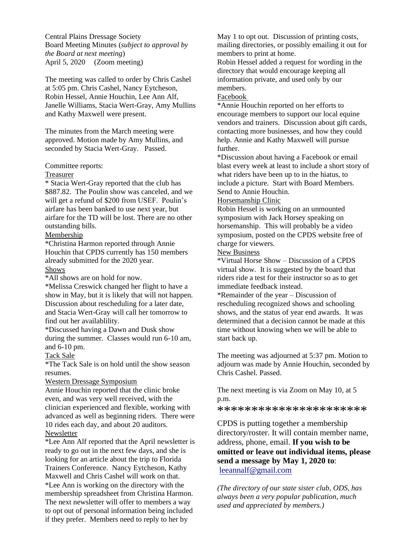Central Plains Dressage Society Board Meeting Minutes (*subject to approval by the Board at next meeting*) April 5, 2020 (Zoom meeting)

The meeting was called to order by Chris Cashel at 5:05 pm. Chris Cashel, Nancy Eytcheson, Robin Hessel, Annie Houchin, Lee Ann Alf, Janelle Williams, Stacia Wert-Gray, Amy Mullins and Kathy Maxwell were present.

The minutes from the March meeting were approved. Motion made by Amy Mullins, and seconded by Stacia Wert-Gray. Passed.

Committee reports:

#### Treasurer

\* Stacia Wert-Gray reported that the club has \$887.82. The Poulin show was canceled, and we will get a refund of \$200 from USEF. Poulin's airfare has been banked to use next year, but airfare for the TD will be lost. There are no other outstanding bills.

#### Membership

\*Christina Harmon reported through Annie Houchin that CPDS currently has 150 members already submitted for the 2020 year. Shows

\*All shows are on hold for now.

\*Melissa Creswick changed her flight to have a show in May, but it is likely that will not happen. Discussion about rescheduling for a later date, and Stacia Wert-Gray will call her tomorrow to find out her availablility.

\*Discussed having a Dawn and Dusk show during the summer. Classes would run 6-10 am, and 6-10 pm.

#### Tack Sale

\*The Tack Sale is on hold until the show season resumes.

#### Western Dressage Symposium

Annie Houchin reported that the clinic broke even, and was very well received, with the clinician experienced and flexible, working with advanced as well as beginning riders. There were 10 rides each day, and about 20 auditors. Newsletter

\*Lee Ann Alf reported that the April newsletter is ready to go out in the next few days, and she is looking for an article about the trip to Florida Trainers Conference. Nancy Eytcheson, Kathy Maxwell and Chris Cashel will work on that. \*Lee Ann is working on the directory with the membership spreadsheet from Christina Harmon. The next newsletter will offer to members a way to opt out of personal information being included if they prefer. Members need to reply to her by

May 1 to opt out. Discussion of printing costs, mailing directories, or possibly emailing it out for members to print at home.

Robin Hessel added a request for wording in the directory that would encourage keeping all information private, and used only by our members.

#### Facebook

\*Annie Houchin reported on her efforts to encourage members to support our local equine vendors and trainers. Discussion about gift cards, contacting more businesses, and how they could help. Annie and Kathy Maxwell will pursue further.

\*Discussion about having a Facebook or email blast every week at least to include a short story of what riders have been up to in the hiatus, to include a picture. Start with Board Members. Send to Annie Houchin.

#### Horsemanship Clinic

Robin Hessel is working on an unmounted symposium with Jack Horsey speaking on horsemanship. This will probably be a video symposium, posted on the CPDS website free of charge for viewers.

#### New Business

\*Virtual Horse Show – Discussion of a CPDS virtual show. It is suggested by the board that riders ride a test for their instructor so as to get immediate feedback instead.

\*Remainder of the year – Discussion of rescheduling recognized shows and schooling shows, and the status of year end awards. It was determined that a decision cannot be made at this time without knowing when we will be able to start back up.

The meeting was adjourned at 5:37 pm. Motion to adjourn was made by Annie Houchin, seconded by Chris Cashel. Passed.

The next meeting is via Zoom on May 10, at 5 p.m.

\*\*\*\*\*\*\*\*\*\*\*\*\*\*\*\*\*\*\*\*\*\*

CPDS is putting together a membership directory/roster. It will contain member name, address, phone, email. **If you wish to be omitted or leave out individual items, please send a message by May 1, 2020 to**: [leeannalf@gmail.com](mailto:leeannalf@gmail.com)

*(The directory of our state sister club, ODS, has always been a very popular publication, much used and appreciated by members.)*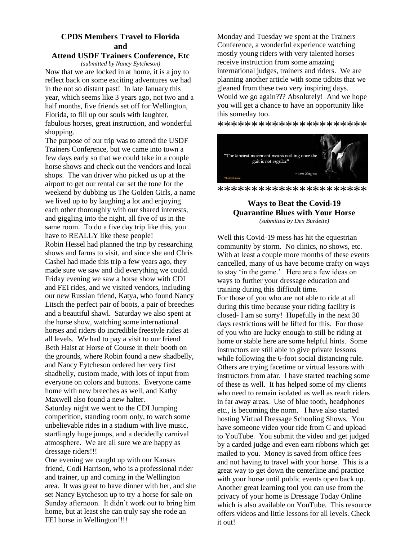### **CPDS Members Travel to Florida and**

#### **Attend USDF Trainers Conference, Etc**

*(submitted by Nancy Eytcheson)*

Now that we are locked in at home, it is a joy to reflect back on some exciting adventures we had in the not so distant past! In late January this year, which seems like 3 years ago, not two and a half months, five friends set off for Wellington, Florida, to fill up our souls with laughter, fabulous horses, great instruction, and wonderful shopping.

The purpose of our trip was to attend the USDF Trainers Conference, but we came into town a few days early so that we could take in a couple horse shows and check out the vendors and local shops. The van driver who picked us up at the airport to get our rental car set the tone for the weekend by dubbing us The Golden Girls, a name we lived up to by laughing a lot and enjoying each other thoroughly with our shared interests, and giggling into the night, all five of us in the same room. To do a five day trip like this, you have to REALLY like these people!

Robin Hessel had planned the trip by researching shows and farms to visit, and since she and Chris Cashel had made this trip a few years ago, they made sure we saw and did everything we could. Friday evening we saw a horse show with CDI and FEI rides, and we visited vendors, including our new Russian friend, Katya, who found Nancy Litsch the perfect pair of boots, a pair of breeches and a beautiful shawl. Saturday we also spent at the horse show, watching some international horses and riders do incredible freestyle rides at all levels. We had to pay a visit to our friend Beth Haist at Horse of Course in their booth on the grounds, where Robin found a new shadbelly, and Nancy Eytcheson ordered her very first shadbelly, custom made, with lots of input from everyone on colors and buttons. Everyone came home with new breeches as well, and Kathy Maxwell also found a new halter.

Saturday night we went to the CDI Jumping competition, standing room only, to watch some unbelievable rides in a stadium with live music, startlingly huge jumps, and a decidedly carnival atmosphere. We are all sure we are happy as dressage riders!!!

One evening we caught up with our Kansas friend, Codi Harrison, who is a professional rider and trainer, up and coming in the Wellington area. It was great to have dinner with her, and she set Nancy Eytcheson up to try a horse for sale on Sunday afternoon. It didn't work out to bring him home, but at least she can truly say she rode an FEI horse in Wellington!!!!

Monday and Tuesday we spent at the Trainers Conference, a wonderful experience watching mostly young riders with very talented horses receive instruction from some amazing international judges, trainers and riders. We are planning another article with some tidbits that we gleaned from these two very inspiring days. Would we go again??? Absolutely! And we hope you will get a chance to have an opportunity like this someday too.

\*\*\*\*\*\*\*\*\*\*\*\*\*\*\*\*\*\*\*\*\*\*



\*\*\*\*\*\*\*\*\*\*\*\*\*\*\*\*\*\*\*\*\*\*

#### **Ways to Beat the Covid-19 Quarantine Blues with Your Horse** *(submitted by Den Burdette)*

Well this Covid-19 mess has hit the equestrian community by storm. No clinics, no shows, etc. With at least a couple more months of these events cancelled, many of us have become crafty on ways to stay 'in the game.' Here are a few ideas on ways to further your dressage education and training during this difficult time. For those of you who are not able to ride at all during this time because your riding facility is closed- I am so sorry! Hopefully in the next 30 days restrictions will be lifted for this. For those of you who are lucky enough to still be riding at home or stable here are some helpful hints. Some instructors are still able to give private lessons while following the 6-foot social distancing rule. Others are trying facetime or virtual lessons with instructors from afar. I have started teaching some of these as well. It has helped some of my clients who need to remain isolated as well as reach riders in far away areas. Use of blue tooth, headphones etc., is becoming the norm. I have also started hosting Virtual Dressage Schooling Shows. You have someone video your ride from C and upload to YouTube. You submit the video and get judged by a carded judge and even earn ribbons which get mailed to you. Money is saved from office fees and not having to travel with your horse. This is a great way to get down the centerline and practice with your horse until public events open back up. Another great learning tool you can use from the privacy of your home is Dressage Today Online which is also available on YouTube. This resource offers videos and little lessons for all levels. Check it out!